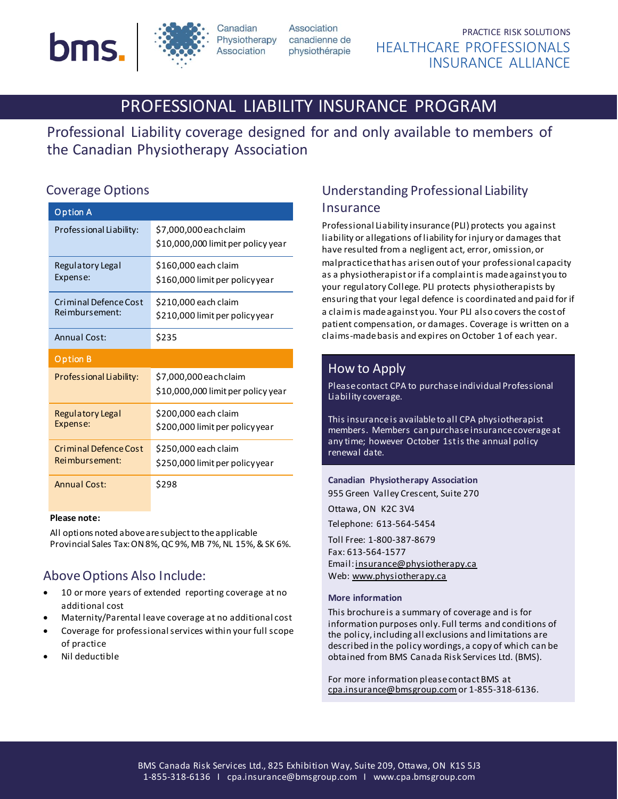



**Association** 

physiothérapie

 PRACTICE RISK SOLUTIONS HEALTHCARE PROFESSIONALS INSURANCE ALLIANCE

# PROFESSIONAL LIABILITY INSURANCE PROGRAM

Professional Liability coverage designed for and only available to members of the Canadian Physiotherapy Association

## Coverage Options

| Option A                                       |                                                              |
|------------------------------------------------|--------------------------------------------------------------|
| Professional Liability:                        | \$7,000,000 each claim<br>\$10,000,000 limit per policy year |
| Regulatory Legal<br>Expense:                   | \$160,000 each claim<br>\$160,000 limit per policy year      |
| Criminal Defence Cost<br>Reimbursement:        | \$210,000 each claim<br>\$210,000 limit per policyyear       |
| Annual Cost:                                   | \$235                                                        |
|                                                |                                                              |
| Option B                                       |                                                              |
| Professional Liability:                        | \$7,000,000 each claim<br>\$10,000,000 limit per policy year |
| <b>Regulatory Legal</b><br>Expense:            | \$200,000 each claim<br>\$200,000 limit per policyyear       |
| <b>Criminal Defence Cost</b><br>Reimbursement: | \$250,000 each claim<br>\$250,000 limit per policy year      |

#### **Please note:**

 All options noted above are subject to the applicable Provincial Sales Tax: ON 8%, QC 9%, MB 7%, NL 15%,& SK 6%.

# Above Options Also Include:

- 10 or more years of extended reporting coverage at no additional cost
- Maternity/Parental leave coverage at no additional cost
- Coverage for professional services within your full scope of practice
- Nil deductible

# Understanding Professional Liability Insurance

Professional Liability insurance (PLI) protects you against liability or allegations of liability for injury or damages that have resulted from a negligent act, error, omission, or malpractice that has arisen out of your professional capacity as a physiotherapist or if a complaint is made against you to your regulatory College. PLI protects physiotherapists by ensuring that your legal defence is coordinated and paid for if a claim is made against you. Your PLI also covers the cost of patient compensation, or damages. Coverage is written on a claims-made basis and expires on October 1 of each year.

### How to Apply

Please contact CPA to purchase individual Professional Liability coverage.

This insurance is available to all CPA physiotherapist members. Members can purchase insurance coverage at any time; however October 1st is the annual policy renewal date.

**Canadian Physiotherapy Association** 955 Green Valley Crescent, Suite 270 Ottawa, ON K2C 3V4 Telephone: 613-564-5454 Toll Free: 1-800-387-8679 Fax: 613-564-1577 Email[: insurance@physiotherapy.ca](mailto:insurance@physiotherapy.ca) Web[: www.physiotherapy.ca](http://www.physiotherapy.ca/)

#### **More information**

This brochure is a summary of coverage and is for information purposes only. Full terms and conditions of the policy, including all exclusions and limitations are described in the policy wordings, a copy of which can be obtained from BMS Canada Risk Services Ltd. (BMS).

For more information please contact BMS at [cpa.insurance@bmsgroup.com](mailto:cpa.insurance@bmsgroup.com)or 1-855-318-6136.